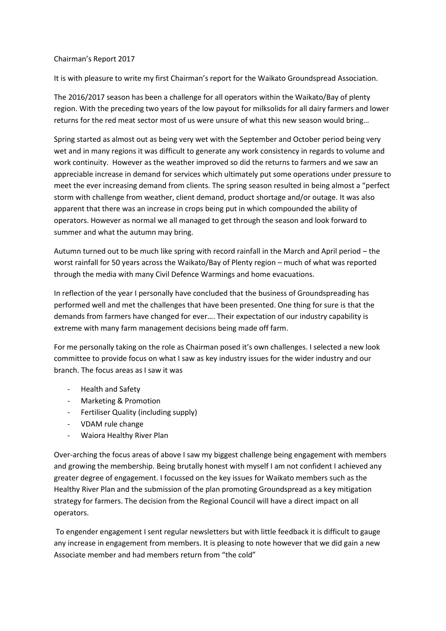## Chairman's Report 2017

It is with pleasure to write my first Chairman's report for the Waikato Groundspread Association.

The 2016/2017 season has been a challenge for all operators within the Waikato/Bay of plenty region. With the preceding two years of the low payout for milksolids for all dairy farmers and lower returns for the red meat sector most of us were unsure of what this new season would bring…

Spring started as almost out as being very wet with the September and October period being very wet and in many regions it was difficult to generate any work consistency in regards to volume and work continuity. However as the weather improved so did the returns to farmers and we saw an appreciable increase in demand for services which ultimately put some operations under pressure to meet the ever increasing demand from clients. The spring season resulted in being almost a "perfect storm with challenge from weather, client demand, product shortage and/or outage. It was also apparent that there was an increase in crops being put in which compounded the ability of operators. However as normal we all managed to get through the season and look forward to summer and what the autumn may bring.

Autumn turned out to be much like spring with record rainfall in the March and April period – the worst rainfall for 50 years across the Waikato/Bay of Plenty region – much of what was reported through the media with many Civil Defence Warmings and home evacuations.

In reflection of the year I personally have concluded that the business of Groundspreading has performed well and met the challenges that have been presented. One thing for sure is that the demands from farmers have changed for ever…. Their expectation of our industry capability is extreme with many farm management decisions being made off farm.

For me personally taking on the role as Chairman posed it's own challenges. I selected a new look committee to provide focus on what I saw as key industry issues for the wider industry and our branch. The focus areas as I saw it was

- Health and Safety
- Marketing & Promotion
- Fertiliser Quality (including supply)
- VDAM rule change
- Waiora Healthy River Plan

Over-arching the focus areas of above I saw my biggest challenge being engagement with members and growing the membership. Being brutally honest with myself I am not confident I achieved any greater degree of engagement. I focussed on the key issues for Waikato members such as the Healthy River Plan and the submission of the plan promoting Groundspread as a key mitigation strategy for farmers. The decision from the Regional Council will have a direct impact on all operators.

To engender engagement I sent regular newsletters but with little feedback it is difficult to gauge any increase in engagement from members. It is pleasing to note however that we did gain a new Associate member and had members return from "the cold"